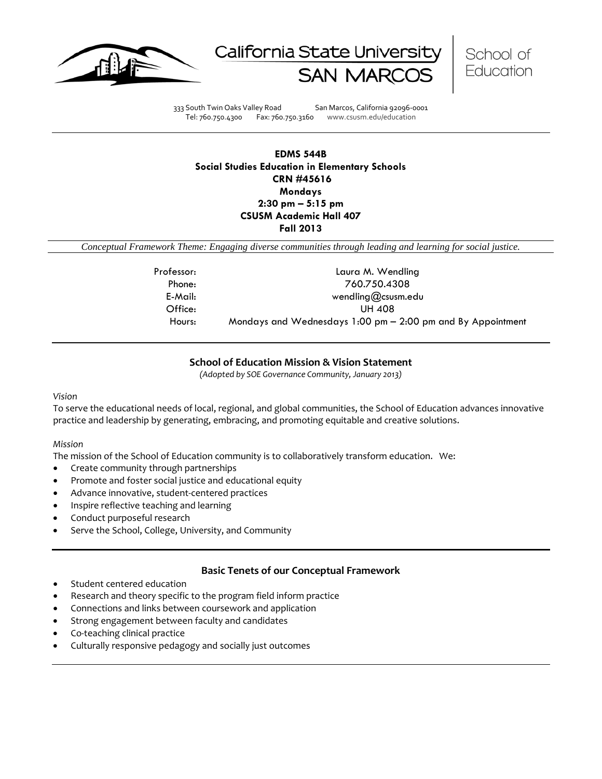





333 South Twin Oaks Valley Road San Marcos, California 92096-0001 Tel: 760.750.4300 Fax: 760.750.3160 www.csusm.edu/education

**EDMS 544B Social Studies Education in Elementary Schools CRN #45616 Mondays 2:30 pm – 5:15 pm CSUSM Academic Hall 407 Fall 2013** 

*Conceptual Framework Theme: Engaging diverse communities through leading and learning for social justice.*

| Professor: | Laura M. Wendling                                                             |  |  |  |
|------------|-------------------------------------------------------------------------------|--|--|--|
| Phone:     | 760.750.4308                                                                  |  |  |  |
| E-Mail:    | wendling@csusm.edu                                                            |  |  |  |
| Office:    | UH 408                                                                        |  |  |  |
| Hours:     | Mondays and Wednesdays $1:00 \text{ pm} - 2:00 \text{ pm}$ and By Appointment |  |  |  |

### **School of Education Mission & Vision Statement**

*(Adopted by SOE Governance Community, January 2013)*

#### *Vision*

To serve the educational needs of local, regional, and global communities, the School of Education advances innovative practice and leadership by generating, embracing, and promoting equitable and creative solutions.

#### *Mission*

The mission of the School of Education community is to collaboratively transform education. We:

- Create community through partnerships
- Promote and foster social justice and educational equity
- Advance innovative, student-centered practices
- Inspire reflective teaching and learning
- Conduct purposeful research
- Serve the School, College, University, and Community

## **Basic Tenets of our Conceptual Framework**

- Student centered education
- Research and theory specific to the program field inform practice
- Connections and links between coursework and application
- Strong engagement between faculty and candidates
- Co-teaching clinical practice
- Culturally responsive pedagogy and socially just outcomes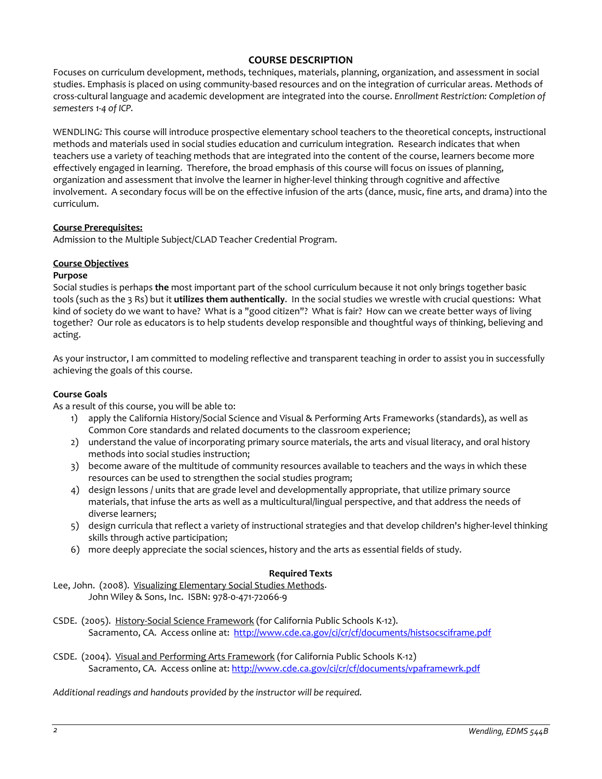# **COURSE DESCRIPTION**

Focuses on curriculum development, methods, techniques, materials, planning, organization, and assessment in social studies. Emphasis is placed on using community-based resources and on the integration of curricular areas. Methods of cross-cultural language and academic development are integrated into the course. *Enrollment Restriction: Completion of semesters 1-4 of ICP.*

WENDLING*:* This course will introduce prospective elementary school teachers to the theoretical concepts, instructional methods and materials used in social studies education and curriculum integration. Research indicates that when teachers use a variety of teaching methods that are integrated into the content of the course, learners become more effectively engaged in learning. Therefore, the broad emphasis of this course will focus on issues of planning, organization and assessment that involve the learner in higher-level thinking through cognitive and affective involvement. A secondary focus will be on the effective infusion of the arts (dance, music, fine arts, and drama) into the curriculum.

## **Course Prerequisites:**

Admission to the Multiple Subject/CLAD Teacher Credential Program.

## **Course Objectives**

### **Purpose**

Social studies is perhaps **the** most important part of the school curriculum because it not only brings together basic tools (such as the 3 Rs) but it **utilizes them authentically**. In the social studies we wrestle with crucial questions: What kind of society do we want to have? What is a "good citizen"? What is fair? How can we create better ways of living together? Our role as educators is to help students develop responsible and thoughtful ways of thinking, believing and acting.

As your instructor, I am committed to modeling reflective and transparent teaching in order to assist you in successfully achieving the goals of this course.

### **Course Goals**

As a result of this course, you will be able to:

- 1) apply the California History/Social Science and Visual & Performing Arts Frameworks (standards), as well as Common Core standards and related documents to the classroom experience;
- 2) understand the value of incorporating primary source materials, the arts and visual literacy, and oral history methods into social studies instruction;
- 3) become aware of the multitude of community resources available to teachers and the ways in which these resources can be used to strengthen the social studies program;
- 4) design lessons / units that are grade level and developmentally appropriate, that utilize primary source materials, that infuse the arts as well as a multicultural/lingual perspective, and that address the needs of diverse learners;
- 5) design curricula that reflect a variety of instructional strategies and that develop children's higher-level thinking skills through active participation;
- 6) more deeply appreciate the social sciences, history and the arts as essential fields of study.

### **Required Texts**

Lee, John. (2008). Visualizing Elementary Social Studies Methods. John Wiley & Sons, Inc. ISBN: 978-0-471-72066-9

- CSDE. (2005). History-Social Science Framework (for California Public Schools K-12). Sacramento, CA. Access online at: <http://www.cde.ca.gov/ci/cr/cf/documents/histsocsciframe.pdf>
- CSDE. (2004). Visual and Performing Arts Framework (for California Public Schools K-12) Sacramento, CA. Access online at:<http://www.cde.ca.gov/ci/cr/cf/documents/vpaframewrk.pdf>

*Additional readings and handouts provided by the instructor will be required.*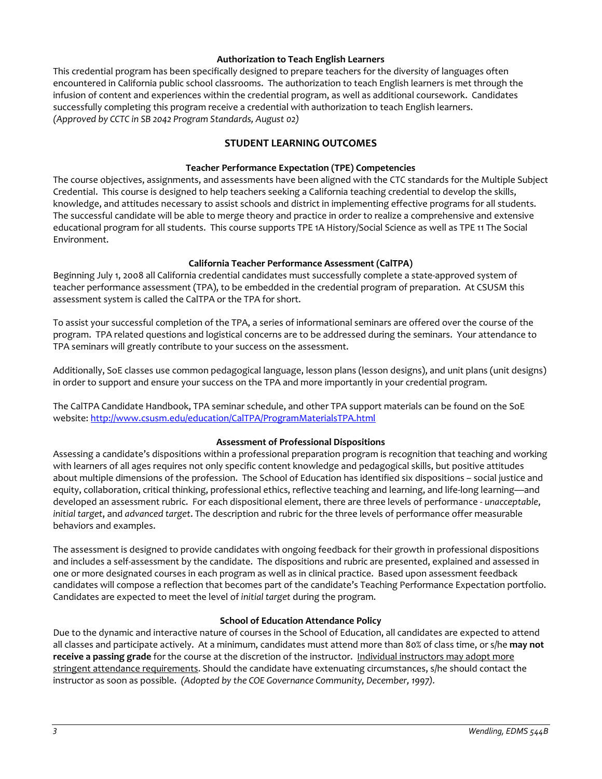### **Authorization to Teach English Learners**

This credential program has been specifically designed to prepare teachers for the diversity of languages often encountered in California public school classrooms. The authorization to teach English learners is met through the infusion of content and experiences within the credential program, as well as additional coursework. Candidates successfully completing this program receive a credential with authorization to teach English learners. *(Approved by CCTC in SB 2042 Program Standards, August 02)*

## **STUDENT LEARNING OUTCOMES**

#### **Teacher Performance Expectation (TPE) Competencies**

The course objectives, assignments, and assessments have been aligned with the CTC standards for the Multiple Subject Credential. This course is designed to help teachers seeking a California teaching credential to develop the skills, knowledge, and attitudes necessary to assist schools and district in implementing effective programs for all students. The successful candidate will be able to merge theory and practice in order to realize a comprehensive and extensive educational program for all students. This course supports TPE 1A History/Social Science as well as TPE 11 The Social Environment.

#### **California Teacher Performance Assessment (CalTPA)**

Beginning July 1, 2008 all California credential candidates must successfully complete a state-approved system of teacher performance assessment (TPA), to be embedded in the credential program of preparation. At CSUSM this assessment system is called the CalTPA or the TPA for short.

To assist your successful completion of the TPA, a series of informational seminars are offered over the course of the program. TPA related questions and logistical concerns are to be addressed during the seminars. Your attendance to TPA seminars will greatly contribute to your success on the assessment.

Additionally, SoE classes use common pedagogical language, lesson plans (lesson designs), and unit plans (unit designs) in order to support and ensure your success on the TPA and more importantly in your credential program.

The CalTPA Candidate Handbook, TPA seminar schedule, and other TPA support materials can be found on the SoE website: <http://www.csusm.edu/education/CalTPA/ProgramMaterialsTPA.html>

#### **Assessment of Professional Dispositions**

Assessing a candidate's dispositions within a professional preparation program is recognition that teaching and working with learners of all ages requires not only specific content knowledge and pedagogical skills, but positive attitudes about multiple dimensions of the profession. The School of Education has identified six dispositions – social justice and equity, collaboration, critical thinking, professional ethics, reflective teaching and learning, and life-long learning—and developed an assessment rubric. For each dispositional element, there are three levels of performance - *unacceptable*, *initial target*, and *advanced target*. The description and rubric for the three levels of performance offer measurable behaviors and examples.

The assessment is designed to provide candidates with ongoing feedback for their growth in professional dispositions and includes a self-assessment by the candidate. The dispositions and rubric are presented, explained and assessed in one or more designated courses in each program as well as in clinical practice. Based upon assessment feedback candidates will compose a reflection that becomes part of the candidate's Teaching Performance Expectation portfolio. Candidates are expected to meet the level of *initial target* during the program.

#### **School of Education Attendance Policy**

Due to the dynamic and interactive nature of courses in the School of Education, all candidates are expected to attend all classes and participate actively. At a minimum, candidates must attend more than 80% of class time, or s/he **may not receive a passing grade** for the course at the discretion of the instructor. Individual instructors may adopt more stringent attendance requirements. Should the candidate have extenuating circumstances, s/he should contact the instructor as soon as possible. *(Adopted by the COE Governance Community, December, 1997).*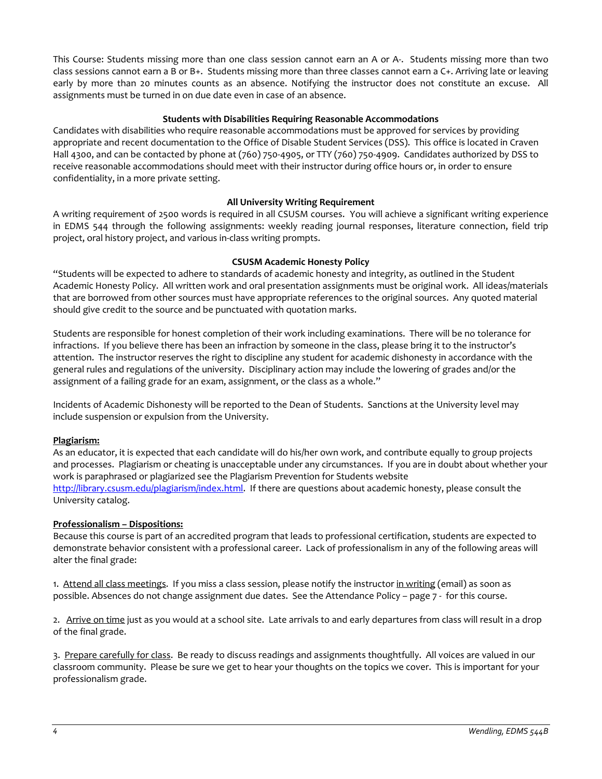This Course: Students missing more than one class session cannot earn an A or A-. Students missing more than two class sessions cannot earn a B or B+. Students missing more than three classes cannot earn a C+. Arriving late or leaving early by more than 20 minutes counts as an absence. Notifying the instructor does not constitute an excuse. All assignments must be turned in on due date even in case of an absence.

## **Students with Disabilities Requiring Reasonable Accommodations**

Candidates with disabilities who require reasonable accommodations must be approved for services by providing appropriate and recent documentation to the Office of Disable Student Services (DSS). This office is located in Craven Hall 4300, and can be contacted by phone at (760) 750-4905, or TTY (760) 750-4909. Candidates authorized by DSS to receive reasonable accommodations should meet with their instructor during office hours or, in order to ensure confidentiality, in a more private setting.

## **All University Writing Requirement**

A writing requirement of 2500 words is required in all CSUSM courses. You will achieve a significant writing experience in EDMS 544 through the following assignments: weekly reading journal responses, literature connection, field trip project, oral history project, and various in-class writing prompts.

## **CSUSM Academic Honesty Policy**

"Students will be expected to adhere to standards of academic honesty and integrity, as outlined in the Student Academic Honesty Policy. All written work and oral presentation assignments must be original work. All ideas/materials that are borrowed from other sources must have appropriate references to the original sources. Any quoted material should give credit to the source and be punctuated with quotation marks.

Students are responsible for honest completion of their work including examinations. There will be no tolerance for infractions. If you believe there has been an infraction by someone in the class, please bring it to the instructor's attention. The instructor reserves the right to discipline any student for academic dishonesty in accordance with the general rules and regulations of the university. Disciplinary action may include the lowering of grades and/or the assignment of a failing grade for an exam, assignment, or the class as a whole."

Incidents of Academic Dishonesty will be reported to the Dean of Students. Sanctions at the University level may include suspension or expulsion from the University.

### **Plagiarism:**

As an educator, it is expected that each candidate will do his/her own work, and contribute equally to group projects and processes. Plagiarism or cheating is unacceptable under any circumstances. If you are in doubt about whether your work is paraphrased or plagiarized see the Plagiarism Prevention for Students website [http://library.csusm.edu/plagiarism/index.html.](http://library.csusm.edu/plagiarism/index.html) If there are questions about academic honesty, please consult the University catalog.

### **Professionalism – Dispositions:**

Because this course is part of an accredited program that leads to professional certification, students are expected to demonstrate behavior consistent with a professional career. Lack of professionalism in any of the following areas will alter the final grade:

1. Attend all class meetings. If you miss a class session, please notify the instructor in writing (email) as soon as possible. Absences do not change assignment due dates. See the Attendance Policy – page 7 - for this course.

2. Arrive on time just as you would at a school site. Late arrivals to and early departures from class will result in a drop of the final grade.

3. Prepare carefully for class. Be ready to discuss readings and assignments thoughtfully. All voices are valued in our classroom community. Please be sure we get to hear your thoughts on the topics we cover. This is important for your professionalism grade.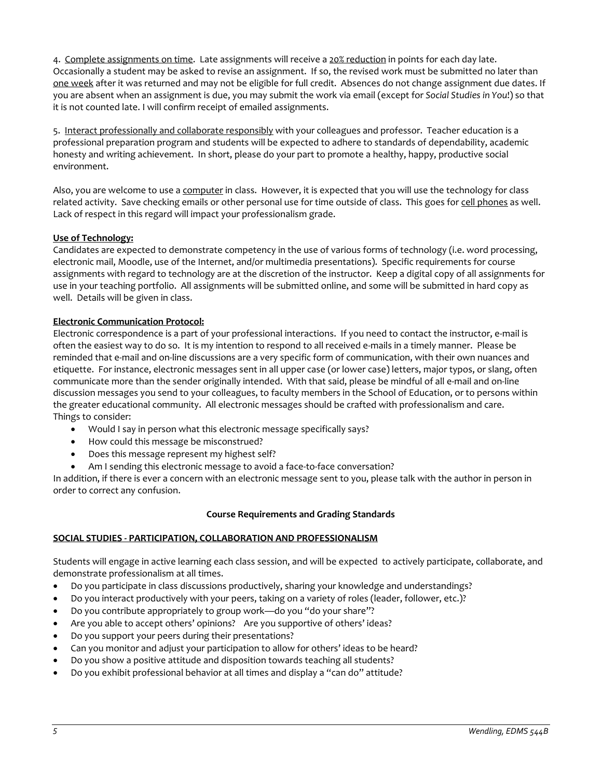4. Complete assignments on time. Late assignments will receive a 20% reduction in points for each day late. Occasionally a student may be asked to revise an assignment. If so, the revised work must be submitted no later than one week after it was returned and may not be eligible for full credit. Absences do not change assignment due dates. If you are absent when an assignment is due, you may submit the work via email (except for *Social Studies in You*!) so that it is not counted late. I will confirm receipt of emailed assignments.

5. Interact professionally and collaborate responsibly with your colleagues and professor. Teacher education is a professional preparation program and students will be expected to adhere to standards of dependability, academic honesty and writing achievement. In short, please do your part to promote a healthy, happy, productive social environment.

Also, you are welcome to use a computer in class. However, it is expected that you will use the technology for class related activity. Save checking emails or other personal use for time outside of class. This goes for cell phones as well. Lack of respect in this regard will impact your professionalism grade.

# **Use of Technology:**

Candidates are expected to demonstrate competency in the use of various forms of technology (i.e. word processing, electronic mail, Moodle, use of the Internet, and/or multimedia presentations). Specific requirements for course assignments with regard to technology are at the discretion of the instructor. Keep a digital copy of all assignments for use in your teaching portfolio. All assignments will be submitted online, and some will be submitted in hard copy as well. Details will be given in class.

## **Electronic Communication Protocol:**

Electronic correspondence is a part of your professional interactions. If you need to contact the instructor, e-mail is often the easiest way to do so. It is my intention to respond to all received e-mails in a timely manner. Please be reminded that e-mail and on-line discussions are a very specific form of communication, with their own nuances and etiquette. For instance, electronic messages sent in all upper case (or lower case) letters, major typos, or slang, often communicate more than the sender originally intended. With that said, please be mindful of all e-mail and on-line discussion messages you send to your colleagues, to faculty members in the School of Education, or to persons within the greater educational community. All electronic messages should be crafted with professionalism and care. Things to consider:

- Would I say in person what this electronic message specifically says?
- How could this message be misconstrued?
- Does this message represent my highest self?
- Am I sending this electronic message to avoid a face-to-face conversation?

In addition, if there is ever a concern with an electronic message sent to you, please talk with the author in person in order to correct any confusion.

### **Course Requirements and Grading Standards**

### **SOCIAL STUDIES - PARTICIPATION, COLLABORATION AND PROFESSIONALISM**

Students will engage in active learning each class session, and will be expected to actively participate, collaborate, and demonstrate professionalism at all times.

- Do you participate in class discussions productively, sharing your knowledge and understandings?
- Do you interact productively with your peers, taking on a variety of roles (leader, follower, etc.)?
- Do you contribute appropriately to group work—do you "do your share"?
- Are you able to accept others' opinions? Are you supportive of others' ideas?
- Do you support your peers during their presentations?
- Can you monitor and adjust your participation to allow for others' ideas to be heard?
- Do you show a positive attitude and disposition towards teaching all students?
- Do you exhibit professional behavior at all times and display a "can do" attitude?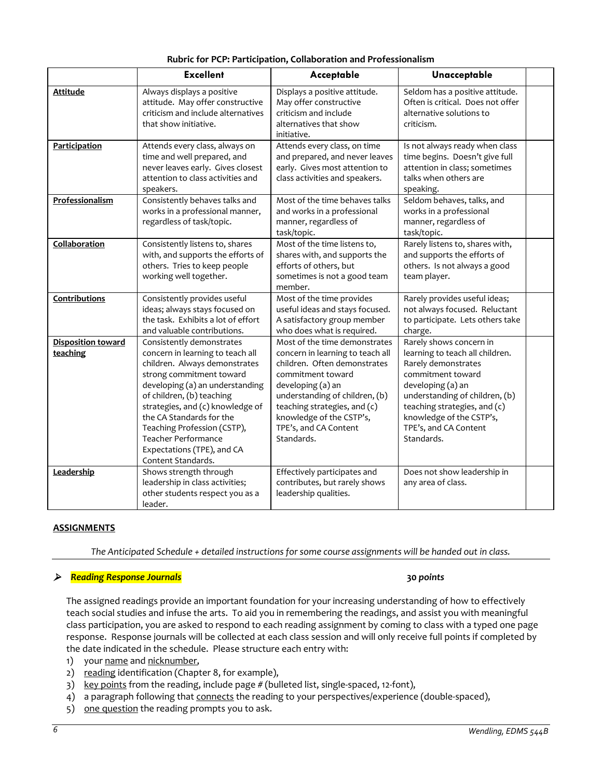|                                       | that show initiative.                                                                                                                                                                                                                                                                                                                                                       | alternatives that show<br>initiative.                                                                                                                                                                                                                                            | criticism.                                                                                                                                                                                                                                                       |
|---------------------------------------|-----------------------------------------------------------------------------------------------------------------------------------------------------------------------------------------------------------------------------------------------------------------------------------------------------------------------------------------------------------------------------|----------------------------------------------------------------------------------------------------------------------------------------------------------------------------------------------------------------------------------------------------------------------------------|------------------------------------------------------------------------------------------------------------------------------------------------------------------------------------------------------------------------------------------------------------------|
| Participation                         | Attends every class, always on<br>time and well prepared, and<br>never leaves early. Gives closest<br>attention to class activities and<br>speakers.                                                                                                                                                                                                                        | Attends every class, on time<br>and prepared, and never leaves<br>early. Gives most attention to<br>class activities and speakers.                                                                                                                                               | Is not always ready when class<br>time begins. Doesn't give full<br>attention in class; sometimes<br>talks when others are<br>speaking.                                                                                                                          |
| Professionalism                       | Consistently behaves talks and<br>works in a professional manner,<br>regardless of task/topic.                                                                                                                                                                                                                                                                              | Most of the time behaves talks<br>and works in a professional<br>manner, regardless of<br>task/topic.                                                                                                                                                                            | Seldom behaves, talks, and<br>works in a professional<br>manner, regardless of<br>task/topic.                                                                                                                                                                    |
| Collaboration                         | Consistently listens to, shares<br>with, and supports the efforts of<br>others. Tries to keep people<br>working well together.                                                                                                                                                                                                                                              | Most of the time listens to,<br>shares with, and supports the<br>efforts of others, but<br>sometimes is not a good team<br>member.                                                                                                                                               | Rarely listens to, shares with,<br>and supports the efforts of<br>others. Is not always a good<br>team player.                                                                                                                                                   |
| Contributions                         | Consistently provides useful<br>ideas; always stays focused on<br>the task. Exhibits a lot of effort<br>and valuable contributions.                                                                                                                                                                                                                                         | Most of the time provides<br>useful ideas and stays focused.<br>A satisfactory group member<br>who does what is required.                                                                                                                                                        | Rarely provides useful ideas;<br>not always focused. Reluctant<br>to participate. Lets others take<br>charge.                                                                                                                                                    |
| <b>Disposition toward</b><br>teaching | Consistently demonstrates<br>concern in learning to teach all<br>children. Always demonstrates<br>strong commitment toward<br>developing (a) an understanding<br>of children, (b) teaching<br>strategies, and (c) knowledge of<br>the CA Standards for the<br>Teaching Profession (CSTP),<br><b>Teacher Performance</b><br>Expectations (TPE), and CA<br>Content Standards. | Most of the time demonstrates<br>concern in learning to teach all<br>children. Often demonstrates<br>commitment toward<br>developing (a) an<br>understanding of children, (b)<br>teaching strategies, and (c)<br>knowledge of the CSTP's,<br>TPE's, and CA Content<br>Standards. | Rarely shows concern in<br>learning to teach all children.<br>Rarely demonstrates<br>commitment toward<br>developing (a) an<br>understanding of children, (b)<br>teaching strategies, and (c)<br>knowledge of the CSTP's,<br>TPE's, and CA Content<br>Standards. |
| Leadership                            | Shows strength through<br>leadership in class activities;<br>other students respect you as a<br>leader.                                                                                                                                                                                                                                                                     | Effectively participates and<br>contributes, but rarely shows<br>leadership qualities.                                                                                                                                                                                           | Does not show leadership in<br>any area of class.                                                                                                                                                                                                                |

# **Rubric for PCP: Participation, Collaboration and Professionalism**

Excellent | Acceptable | Unacceptable

Seldom has a positive attitude. Often is critical. Does not offer alternative solutions to

Displays a positive attitude. May offer constructive criticism and include

# **ASSIG**

# *Reading Response Journals* **30** *points*

The assigned readings provide an important foundation for your increasing understanding of how to effectively teach social studies and infuse the arts. To aid you in remembering the readings, and assist you with meaningful class participation, you are asked to respond to each reading assignment by coming to class with a typed one page response. Response journals will be collected at each class session and will only receive full points if completed by the date indicated in the schedule. Please structure each entry with:

1) your name and nicknumber,

Attitude **Always displays a positive** 

attitude. May offer constructive criticism and include alternatives

- 2) reading identification (Chapter 8, for example),
- 3) key points from the reading, include page # (bulleted list, single-spaced, 12-font),
- 4) a paragraph following that connects the reading to your perspectives/experience (double-spaced),
- 5) one question the reading prompts you to ask.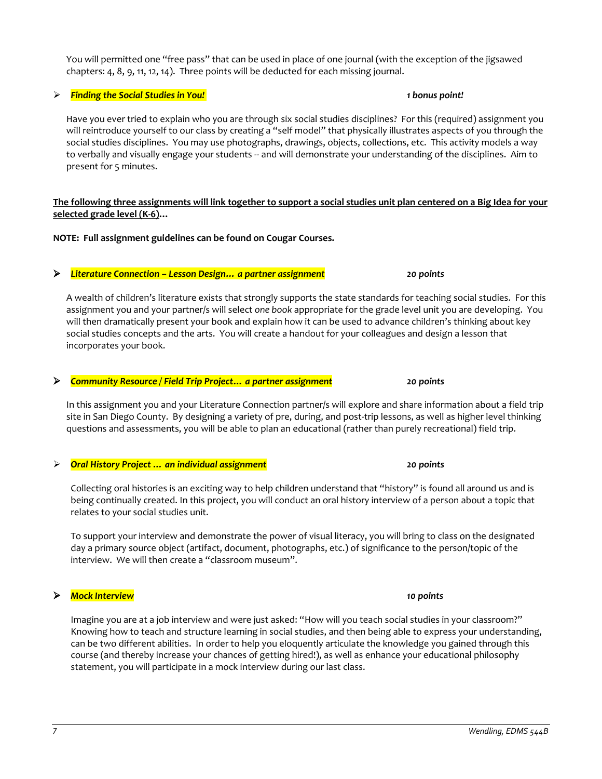## You will permitted one "free pass" that can be used in place of one journal (with the exception of the jigsawed chapters: 4, 8, 9, 11, 12, 14). Three points will be deducted for each missing journal.

# *Finding the Social Studies in You! 1 bonus point!*

Have you ever tried to explain who you are through six social studies disciplines? For this (required) assignment you will reintroduce yourself to our class by creating a "self model" that physically illustrates aspects of you through the social studies disciplines. You may use photographs, drawings, objects, collections, etc. This activity models a way to verbally and visually engage your students -- and will demonstrate your understanding of the disciplines. Aim to present for 5 minutes.

# **The following three assignments will link together to support a social studies unit plan centered on a Big Idea for your selected grade level (K-6)…**

**NOTE: Full assignment guidelines can be found on Cougar Courses.**

# *Literature Connection – Lesson Design… a partner assignment 20 points*

A wealth of children's literature exists that strongly supports the state standards for teaching social studies. For this assignment you and your partner/s will select *one book* appropriate for the grade level unit you are developing. You will then dramatically present your book and explain how it can be used to advance children's thinking about key social studies concepts and the arts. You will create a handout for your colleagues and design a lesson that incorporates your book.

# *Community Resource / Field Trip Project… a partner assignment 20 points*

In this assignment you and your Literature Connection partner/s will explore and share information about a field trip site in San Diego County. By designing a variety of pre, during, and post-trip lessons, as well as higher level thinking questions and assessments, you will be able to plan an educational (rather than purely recreational) field trip.

# *Oral History Project … an individual assignment 20 points*

Collecting oral histories is an exciting way to help children understand that "history" is found all around us and is being continually created. In this project, you will conduct an oral history interview of a person about a topic that relates to your social studies unit.

To support your interview and demonstrate the power of visual literacy, you will bring to class on the designated day a primary source object (artifact, document, photographs, etc.) of significance to the person/topic of the interview. We will then create a "classroom museum".

# *Mock Interview 10 points*

Imagine you are at a job interview and were just asked: "How will you teach social studies in your classroom?" Knowing how to teach and structure learning in social studies, and then being able to express your understanding, can be two different abilities. In order to help you eloquently articulate the knowledge you gained through this course (and thereby increase your chances of getting hired!), as well as enhance your educational philosophy statement, you will participate in a mock interview during our last class.